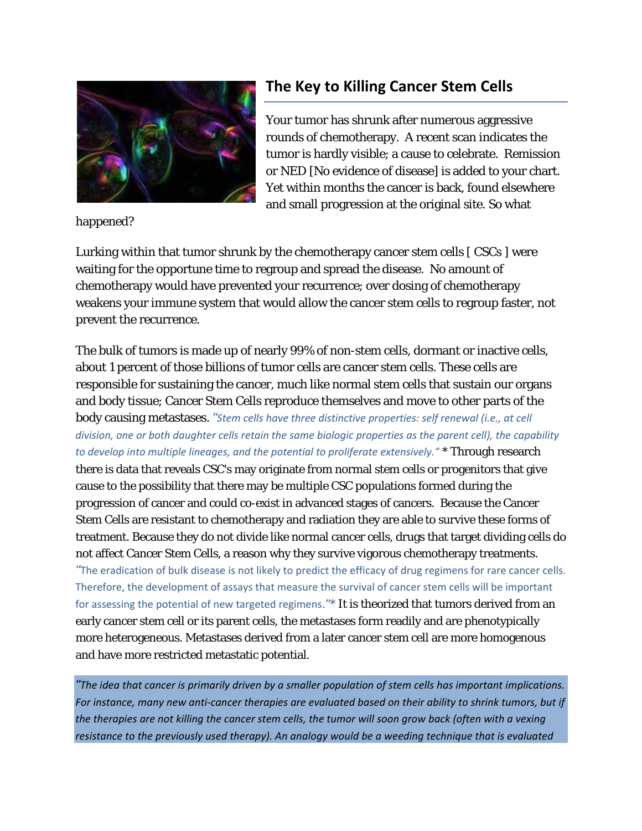

**The Key to Killing Cancer Stem Cells**

Your tumor has shrunk after numerous aggressive rounds of chemotherapy. A recent scan indicates the tumor is hardly visible; a cause to celebrate. Remission or NED [No evidence of disease] is added to your chart. Yet within months the cancer is back, found elsewhere and small progression at the original site. So what

happened?

Lurking within that tumor shrunk by the chemotherapy cancer stem cells [ CSCs ] were waiting for the opportune time to regroup and spread the disease. No amount of chemotherapy would have prevented your recurrence; over dosing of chemotherapy weakens your immune system that would allow the cancer stem cells to regroup faster, not prevent the recurrence.

The bulk of tumors is made up of nearly 99% of non-stem cells, dormant or inactive cells, about 1 percent of those billions of tumor cells are cancer stem cells. These cells are responsible for sustaining the cancer, much like normal stem cells that sustain our organs and body tissue; Cancer Stem Cells reproduce themselves and move to other parts of the body causing metastases. *"Stem cells have three distinctive properties: self renewal (i.e., at cell* division, one or both daughter cells retain the same biologic properties as the parent cell), the capability *to develop into multiple lineages, and the potential to proliferate extensively."* \* Through research there is data that reveals CSC's may originate from normal stem cells or progenitors that give cause to the possibility that there may be multiple CSC populations formed during the progression of cancer and could co-exist in advanced stages of cancers. Because the Cancer Stem Cells are resistant to chemotherapy and radiation they are able to survive these forms of treatment. Because they do not divide like normal cancer cells, drugs that target dividing cells do not affect Cancer Stem Cells, a reason why they survive vigorous chemotherapy treatments. "The eradication of bulk disease is not likely to predict the efficacy of drug regimens for rare cancer cells. Therefore, the development of assays that measure the survival of cancer stem cells will be important for assessing the potential of new targeted regimens."\* It is theorized that tumors derived from an early cancer stem cell or its parent cells, the metastases form readily and are phenotypically more heterogeneous. Metastases derived from a later cancer stem cell are more homogenous and have more restricted metastatic potential.

"The idea that cancer is primarily driven by a smaller population of stem cells has important implications. For instance, many new anti-cancer therapies are evaluated based on their ability to shrink tumors, but if the therapies are not killing the cancer stem cells, the tumor will soon grow back (often with a vexing *resistance to the previously used therapy). An analogy would be a weeding technique that is evaluated*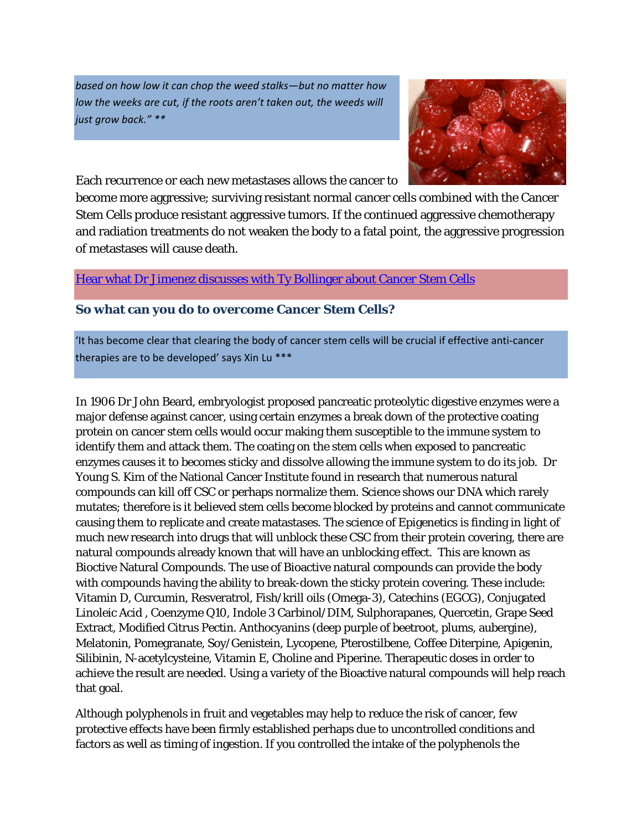*based on how low it can chop the weed stalks—but no matter how low the weeks are cut, if the roots aren't taken out, the weeds will just grow back." \*\**



Each recurrence or each new metastases allows the cancer to

become more aggressive; surviving resistant normal cancer cells combined with the Cancer Stem Cells produce resistant aggressive tumors. If the continued aggressive chemotherapy and radiation treatments do not weaken the body to a fatal point, the aggressive progression of metastases will cause death.

## Hear what Dr Jimenez discusses with Ty Bollinger about Cancer Stem Cells

## **So what can you do to overcome Cancer Stem Cells?**

'It has become clear that clearing the body of cancer stem cells will be crucial if effective anti‐cancer therapies are to be developed' says Xin Lu \*\*\*

In 1906 Dr John Beard, embryologist proposed pancreatic proteolytic digestive enzymes were a major defense against cancer, using certain enzymes a break down of the protective coating protein on cancer stem cells would occur making them susceptible to the immune system to identify them and attack them. The coating on the stem cells when exposed to pancreatic enzymes causes it to becomes sticky and dissolve allowing the immune system to do its job. Dr Young S. Kim of the National Cancer Institute found in research that numerous natural compounds can kill off CSC or perhaps normalize them. Science shows our DNA which rarely mutates; therefore is it believed stem cells become blocked by proteins and cannot communicate causing them to replicate and create matastases. The science of Epigenetics is finding in light of much new research into drugs that will unblock these CSC from their protein covering, there are natural compounds already known that will have an unblocking effect. This are known as Bioctive Natural Compounds. The use of Bioactive natural compounds can provide the body with compounds having the ability to break-down the sticky protein covering. These include: Vitamin D, Curcumin, Resveratrol, Fish/krill oils (Omega-3), Catechins (EGCG), Conjugated Linoleic Acid , Coenzyme Q10, Indole 3 Carbinol/DIM, Sulphorapanes, Quercetin, Grape Seed Extract, Modified Citrus Pectin. Anthocyanins (deep purple of beetroot, plums, aubergine), Melatonin, Pomegranate, Soy/Genistein, Lycopene, Pterostilbene, Coffee Diterpine, Apigenin, Silibinin, N-acetylcysteine, Vitamin E, Choline and Piperine. Therapeutic doses in order to achieve the result are needed. Using a variety of the Bioactive natural compounds will help reach that goal.

Although polyphenols in fruit and vegetables may help to reduce the risk of cancer, few protective effects have been firmly established perhaps due to uncontrolled conditions and factors as well as timing of ingestion. If you controlled the intake of the polyphenols the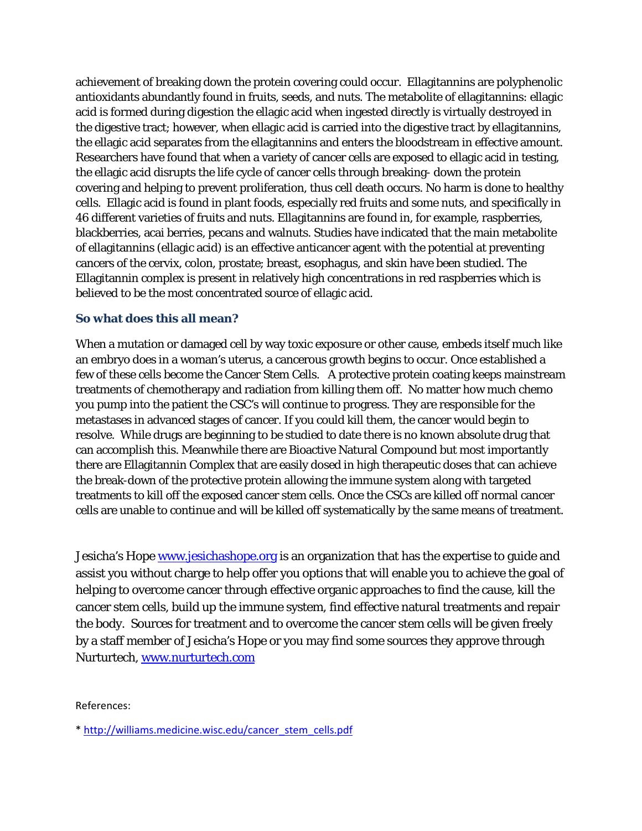achievement of breaking down the protein covering could occur. Ellagitannins are polyphenolic antioxidants abundantly found in fruits, seeds, and nuts. The metabolite of ellagitannins: ellagic acid is formed during digestion the ellagic acid when ingested directly is virtually destroyed in the digestive tract; however, when ellagic acid is carried into the digestive tract by ellagitannins, the ellagic acid separates from the ellagitannins and enters the bloodstream in effective amount. Researchers have found that when a variety of cancer cells are exposed to ellagic acid in testing, the ellagic acid disrupts the life cycle of cancer cells through breaking- down the protein covering and helping to prevent proliferation, thus cell death occurs. No harm is done to healthy cells. Ellagic acid is found in plant foods, especially red fruits and some nuts, and specifically in 46 different varieties of fruits and nuts. Ellagitannins are found in, for example, raspberries, blackberries, acai berries, pecans and walnuts. Studies have indicated that the main metabolite of ellagitannins (ellagic acid) is an effective anticancer agent with the potential at preventing cancers of the cervix, colon, prostate; breast, esophagus, and skin have been studied. The Ellagitannin complex is present in relatively high concentrations in red raspberries which is believed to be the most concentrated source of ellagic acid.

## **So what does this all mean?**

When a mutation or damaged cell by way toxic exposure or other cause, embeds itself much like an embryo does in a woman's uterus, a cancerous growth begins to occur. Once established a few of these cells become the Cancer Stem Cells. A protective protein coating keeps mainstream treatments of chemotherapy and radiation from killing them off. No matter how much chemo you pump into the patient the CSC's will continue to progress. They are responsible for the metastases in advanced stages of cancer. If you could kill them, the cancer would begin to resolve. While drugs are beginning to be studied to date there is no known absolute drug that can accomplish this. Meanwhile there are Bioactive Natural Compound but most importantly there are Ellagitannin Complex that are easily dosed in high therapeutic doses that can achieve the break-down of the protective protein allowing the immune system along with targeted treatments to kill off the exposed cancer stem cells. Once the CSCs are killed off normal cancer cells are unable to continue and will be killed off systematically by the same means of treatment.

Jesicha's Hope [www.jesichashope.org](http://www.jesichashope.org/) is an organization that has the expertise to guide and assist you without charge to help offer you options that will enable you to achieve the goal of helping to overcome cancer through effective organic approaches to find the cause, kill the cancer stem cells, build up the immune system, find effective natural treatments and repair the body. Sources for treatment and to overcome the cancer stem cells will be given freely by a staff member of Jesicha's Hope or you may find some sources they approve through Nurturtech, [www.nurturtech.com](http://www.nurturtech.com/) 

References:

\* [http://williams.medicine.wisc.edu/cancer\\_stem\\_cells.pdf](http://williams.medicine.wisc.edu/cancer_stem_cells.pdf)